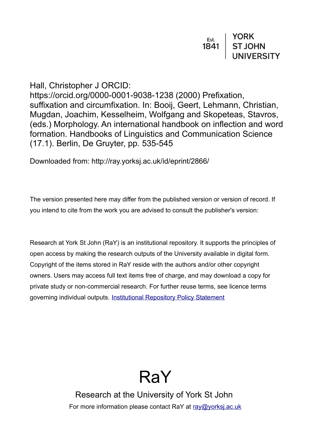# Hall, Christopher J ORCID:

https://orcid.org/0000-0001-9038-1238 (2000) Prefixation, suffixation and circumfixation. In: Booij, Geert, Lehmann, Christian, Mugdan, Joachim, Kesselheim, Wolfgang and Skopeteas, Stavros, (eds.) Morphology. An international handbook on inflection and word formation. Handbooks of Linguistics and Communication Science (17.1). Berlin, De Gruyter, pp. 535-545

Downloaded from: http://ray.yorksj.ac.uk/id/eprint/2866/

The version presented here may differ from the published version or version of record. If you intend to cite from the work you are advised to consult the publisher's version:

Research at York St John (RaY) is an institutional repository. It supports the principles of open access by making the research outputs of the University available in digital form. Copyright of the items stored in RaY reside with the authors and/or other copyright owners. Users may access full text items free of charge, and may download a copy for private study or non-commercial research. For further reuse terms, see licence terms governing individual outputs. [Institutional Repository Policy Statement](https://www.yorksj.ac.uk/ils/repository-policies/)



Research at the University of York St John For more information please contact RaY at [ray@yorksj.ac.uk](mailto:ray@yorksj.ac.uk)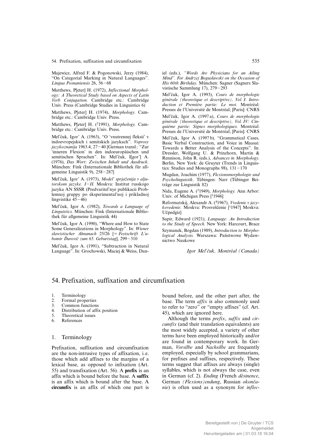Majewicz, Alfred F. & Pogonowski, Jerzy (1984), "On Categorial Marking in Natural Languages". *Lingua Posnaniensis* 26, 56-68

Matthews, P[eter] H. (1972), *Inflectional Morphology: A Theoretical Study based on Aspects of Latin Verb Conjugation.* Cambridge etc.: Cambridge Univ. Press (Cambridge Studies in Linguistics 6)

Matthews, P[eter] H. (1974), *Morphology.* Cambridge etc.: Cambridge Univ. Press.

Matthews, P[eter] H. (<sup>2</sup> 1991), *Morphology.* Cambridge etc.: Cambridge Univ. Press.

Mel'čuk, Igor' A. (1963), "O 'vnutrennej fleksii' v indoevropejskich i semitskich jazykach". *Voprosy jazykoznanija* 1963.4, 27-40 [German transl.: "Zur 'inneren Flexion' in den indoeuropäischen und semitischen Sprachen". In: Mel'čuk, I[gor'] A. (1976), *Das Wort: Zwischen Inhalt und Ausdruck.* München: Fink (Internationale Bibliothek für allgemeine Linguistik 9), 258-287]

Mel'čuk, Igor' A. (1973), Model' sprjaženija v alju*torskom jazyke. I*-*II.* Moskva: Institut russkogo jazyka AN SSSR (Predvaritel'nye publikacii Problemnoj gruppy po eksperimental'noj i prikladnoj lingvistike 45-46)

Mel'čuk, Igor A. (1982), *Towards a Language of Linguistics.* München: Fink (Internationale Bibliothek für allgemeine Linguistik 44)

Mel'čuk, Igor A. (1990), "Where and How to State Some Generalizations in Morphology". In: *Wiener* slawistischer Almanach 25/26 [= Festschrift L'u*bomir Dˇ urovicˇ zum 65. Geburtstag*], 299-310

Mel'čuk, Igor A. (1991), "Subtraction in Natural Language". In: Grochowski, Maciej & Weiss, Daniel (eds.), *"Words Are Physicians for an Ailing Mind". For Andrzej Bogusławski on the Occasion of His 60th Birthday.* München: Sagner (Sagners Slavistische Sammlung 17), 279-293

Mel'čuk, Igor A. (1993), *Cours de morphologie* générale (theoretique et descriptive), Vol. I: Introduction et Première partie: Le mot. Montréal: Presses de l'Université de Montréal; [Paris]: CNRS

Mel'čuk, Igor A. (1997 a), *Cours de morphologie* générale (theoretique et descriptive), Vol. IV: Cin*quième partie: Signes morphologiques.* Montréal: Presses de l'Université de Montréal; [Paris]: CNRS

Mel'čuk, Igor A. (1997b), "Grammatical Cases, Basic Verbal Construction, and Voice in Maasai: Towards a Better Analysis of the Concepts". In: Dressler, Wolfgang U. & Prinzhorn, Martin & Rennison, John R. (eds.), *Advances in Morphology.* Berlin, New York: de Gruyter (Trends in Linguistics: Studies and Monographs 98), 131-170

Mugdan, Joachim (1977), *Flexionsmorphologie und Psycholinguistik*. Tübingen: Narr (Tübinger Beiträge zur Linguistik 82)

Nida, Eugene A. (2 1949), *Morphology.* Ann Arbor: Univ. of Michigan Press [11946]

Reformatskij, Alexandr A. (<sup>4</sup> 1967), *Vvedenie v jazy*kovedenie. Moskva: Prosveščenie [<sup>1</sup>1947] Moskva: Učpedgiz]

Sapir, Edward (1921), *Language: An Introduction to the Study of Speech.* New York: Harcourt, Brace Szymanek, Bogdan (1989), *Introduction to Morpho*logical Analysis. Warszawa: Państwowe Wydawnictwo Naukowe

Igor Mel'čuk, Montréal (Canada)

## 54. Prefixation, suffixation and circumfixation

- 1. Terminology
- 2. Formal properties<br>3. Common function
- 3. Common functions<br>4. Distribution of affix
- Distribution of affix position
- 5. Theoretical issues
- 6. References

#### 1. Terminology

Prefixation, suffixation and circumfixation are the non-intrusive types of affixation, i.e. those which add affixes to the margins of a lexical base, as opposed to infixation (Art. 55) and transfixation (Art. 56). A **prefix** is an affix which is bound before the base. A **suffix** is an affix which is bound after the base. A **circumfix** is an affix of which one part is

bound before, and the other part after, the base. The term *affix* is also commonly used to refer to "zero" or "empty affixes" (cf. Art. 45), which are ignored here.

Although the terms *prefix*, *suffix* and *circumfix* (and their translation equivalents) are the most widely accepted, a variety of other terms have been employed historically and/or are found in contemporary work. In German, *Vorsilbe* and *Nachsilbe* are frequently employed, especially by school grammarians, for prefixes and suffixes, respectively. These terms suggest that affixes are always (single) syllables, which is not always the case, even in German (cf. 2). *Ending* (French *désinence*, German *(Flexions)endung*, Russian okonča*nie*) is often used as a synonym for *inflec-*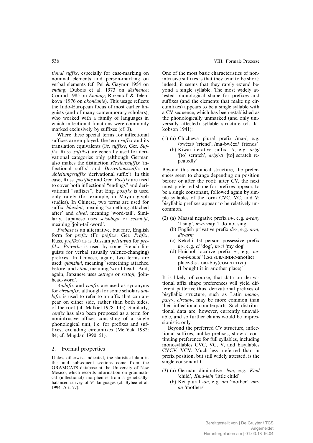*tional suffix*, especially for case-marking on nominal elements and person-marking on verbal elements (cf. Pei & Gaynor 1954 on *ending*: Dubois et al. 1973 on *désinence*; Conrad 1985 on *Endung*; Rozental' & Telenkova <sup>2</sup>1976 on *okončanie*). This usage reflects the Indo-European focus of most earlier linguists (and of many contemporary scholars), who worked with a family of languages in which inflectional functions were commonly marked exclusively by suffixes (cf. 3).

Where these special terms for inflectional suffixes are employed, the term *suffix* and its translation equivalents (Fr. *suffixe*, Ger. *Suffix*, Russ. *suffiks*) are generally used for derivational categories only (although German also makes the distinction *Flexionssuffix* 'inflectional suffix' and *Derivationssuffix* or *Ableitungssuffix* 'derivational suffix'). In this case, Russ. *postfiks* and Ger. *Postfix* are used to cover both inflectional "endings" and derivational "suffixes", but Eng. *postfix* is used only rarely (for example, in Mayan glyph studies). In Chinese, two terms are used for suffix: *hòuzhuì*, meaning 'something attached after' and *ciwei*, meaning 'word-tail'. Similarly, Japanese uses *setsubigo* or *setsubiji*, meaning 'join-tail-word'.

*Prebase* is an alternative, but rare, English form for *prefix* (Fr. *préfixe*, Ger. *Präfix*, Russ. *prefiks*) as is Russian *pristavka* for *prefiks. Préverbe* is used by some French linguists for verbal (usually valence-changing) prefixes. In Chinese, again, two terms are used: *qiánzhuì*, meaning 'something attached before' and *citou*, meaning 'word-head'. And, again, Japanese uses *settogo* or *settoji*, 'joinhead-word'.

*Ambifix* and *confix* are used as synonyms for *circumfix*, although for some scholars *ambifix* is used to refer to an affix that can appear on either side, rather than both sides, of the root (cf. Malkiel 1978: 145). Similarly, *confix* has also been proposed as a term for nonintrusive affixes consisting of a single phonological unit, i.e. for prefixes and suffixes, excluding circumfixes (Mel'čuk 1982: 84; cf. Mugdan 1990: 51).

#### 2. Formal properties

Unless otherwise indicated, the statistical data in this and subsequent sections come from the GRAMCATS database at the University of New Mexico, which records information on grammatical (inflectional) morphemes from a geneticallybalanced survey of 94 languages (cf. Bybee et al. 1994; Art. 77).

One of the most basic characteristics of nonintrusive suffixes is that they tend to be short; indeed, it seems that they rarely extend beyond a single syllable. The most widely attested phonological shape for prefixes and suffixes (and the elements that make up circumfixes) appears to be a single syllable with a CV sequence, which has been established as the phonologically unmarked (and only universally attested) syllable structure (cf. Jakobson 1941):

- (1) (a) Chichewa plural prefix /ma-/, e.g. /bwé:zi/ 'friend', /ma-bwé:zi/ 'friends'
	- (b) Kiwai iterative suffix *-ti*, e.g. *arigi* '[to] scratch', *arigi-ti* '[to] scratch repeatedly'

Beyond this canonical structure, the preferences seem to change depending on position before or after the root: after CV, the next most preferred shape for prefixes appears to be a single consonant, followed again by simple syllables of the form CVC, VC, and V; bisyllabic prefixes appear to be relatively uncommon.

- (2) (a) Maasai negative prefix *m-*, e.g. *a-rany* 'I sing', *m-a-rany* 'I do not sing'
	- (b) English privative prefix *dis-*, e.g. *arm*, *dis-arm*
	- (c) Kekchi 1st person possessive prefix *in-*, e.g. *ci* 'dog', *in-ci* 'my dog'
	- (d) Huichol locative prefix *e-*, e.g. *nep-e-i-nanai* '1.sg.subj-indic-another— place-3.sg.obj-buy(completive) (I bought it in another place)'

It is likely, of course, that data on derivational affix shape preferences will yield different patterns; thus, derivational prefixes of bisyllabic structure, such as Latin *mono-*, *para-*, *circum-*, may be more common than their inflectional counterparts. Such distributional data are, however, currently unavailable, and so further claims would be impressionistic only.

Beyond the preferred CV structure, inflectional suffixes, unlike prefixes, show a continuing preference for full syllables, including monosyllables CVC, VC, V, and bisyllables CVCV, VCV. Much less preferred than in prefix position, but still widely attested, is the single consonant C.

- (3) (a) German diminutive *-lein*, e.g. *Kind* 'child', *Kind-lein* 'little child'
	- (b) Ket plural *-an*, e.g. *am* 'mother', *aman* 'mothers'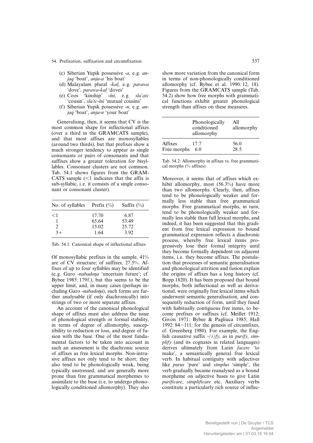- 54. Prefixation, suffixation and circumfixation 537
	- (c) Siberian Yupik possessive *-a*, e.g. *anjaq* 'boat', *anja-a* 'his boat'
	- (d) Malayalam plural *-kal*ø, e.g. *parawa* 'dove', parawa-kal 'doves'
	- (e) Coos 'kinship' *-ıˆni*, e.g. *sla'atc* 'cousin', *sla'tc-îni* 'mutual cousins'
	- (f) Siberian Yupik possessive *-n*, e.g. *anjaq* 'boat', *anja-n* 'your boat'

Generalising, then, it seems that CV is the most common shape for inflectional affixes (over a third in the GRAMCATS sample), and that most affixes are monosyllables (around two thirds), but that prefixes show a much stronger tendency to appear as single consonants or pairs of consonants and that suffixes show a greater toleration for bisyllables. Consonant clusters are not common. Tab. 54.1 shows figures from the GRAM-CATS sample  $\leq 1$  indicates that the affix is sub-syllabic, i.e. it consists of a single consonant or consonant cluster).

| No. of syllables Prefix $(\%)$ |       | Suffix $(\%)$ |
|--------------------------------|-------|---------------|
| $\leq$ 1                       | 17.70 | 6.87          |
|                                | 65.64 | 53.49         |
| $\mathfrak{D}$                 | 15.02 | 25.72         |
| $3+$                           | 1.64  | 3.92          |

Tab. 54.1: Canonical shape of inflectional affixes

Of monosyllabic prefixes in the sample, 41% are of CV structure; of suffixes, 27.5%. Affixes of up to four syllables may be identified (e.g. Garo *-nabadona* 'uncertain future'; cf. Bybee 1985: 179f.), but this seems to be the upper limit, and, in many cases (perhaps including Garo *-nabadona*), such forms are further analysable (if only diachronically) into strings of two or more separate affixes.

An account of the canonical phonological shape of affixes must also address the issue of phonological strength or formal stability, in terms of degree of allomorphy, susceptibility to reduction or loss, and degree of fusion with the base. One of the most fundamental factors to be taken into account in such an assessment is the diachronic source of affixes as free lexical morphs. Non-intrusive affixes not only tend to be short; they also tend to be phonologically weak, being typically unstressed, and are generally more prone than free grammatical morphemes to assimilate to the base (i.e. to undergo phonologically conditioned allomorphy). They also

show more variation from the canonical form in terms of non-phonologically conditioned allomorphy (cf. Bybee et al. 1990: 12, 18). Figures from the GRAMCATS sample (Tab. 54.2) show how free morphs with grammatical functions exhibit greater phonological strength than affixes on these measures.

|             | Phonologically<br>conditioned<br>allomorphy | All<br>allomorphy |
|-------------|---------------------------------------------|-------------------|
| Affixes     | 17.7                                        | 56.0              |
| Free morphs | 6.0                                         | 28.5              |

| Tab. 54.2: Allomorphy in affixes vs. free grammati- |  |  |
|-----------------------------------------------------|--|--|
| cal morphs (% affixes)                              |  |  |

Moreover, it seems that of affixes which exhibit allomorphy, most (56.3%) have more than two allomorphs. Clearly, then, affixes tend to be phonologically weaker and formally less stable than free grammatical morphs. Free grammatical morphs, in turn, tend to be phonologically weaker and formally less stable than full lexical morphs, and indeed, it has been suggested that this gradient from free lexical expression to bound grammatical expression reflects a diachronic process, whereby free lexical items progressively lose their formal integrity until they become formally dependent on adjacent items, i.e. they become affixes. The postulation that processes of semantic generalisation and phonological attrition and fusion explain the origins of affixes has a long history (cf. Bopp 1820). It has been proposed that bound morphs, both inflectional as well as derivational, were originally free lexical items which underwent semantic generalisation, and consequently reduction of form, until they fused with habitually contiguous free items, to become prefixes or suffixes (cf. Meillet 1912; Givón<sup>1971</sup>; Bybee & Pagliuca 1985; Hall 1992: 84-111; for the genesis of circumfixes, cf. Greenberg 1980). For example, the English causative suffix *-(i)fy*, as in *purify*, *simplify* (and its cognates in related languages) derives ultimately from Latin *facere* 'to make', a semantically general free lexical verb. In habitual contiguity with adjectives like *purus* 'pure' and *simplus* 'simple', the verb gradually became reanalysed as a bound morpheme on adjective bases to give Latin *purificare*, *simplificare* etc. Auxiliary verbs constitute a particularly rich source of inflec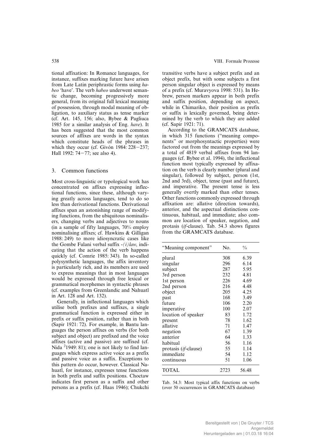tional affixation: In Romance languages, for instance, suffixes marking future have arisen from Late Latin periphrastic forms using *habeo* 'have'. The verb *habeo* underwent semantic change, becoming progressively more general, from its original full lexical meaning of possession, through modal meaning of obligation, to auxiliary status as tense marker (cf. Art. 145, 156; also, Bybee & Pagliuca 1985 for a similar analysis of Eng. *have*). It has been suggested that the most common sources of affixes are words in the syntax which constitute heads of the phrases in which they occur (cf. Givón 1984:  $228-237$ ; Hall 1992: 74-77; see also 4).

## 3. Common functions

Most cross-linguistic or typological work has concentrated on affixes expressing inflectional functions, since these, although varying greatly across languages, tend to do so less than derivational functions. Derivational affixes span an astonishing range of modifying functions, from the ubiquitous nominalisers, changing verbs and adjectives to nouns (in a sample of fifty languages, 70% employ nominalising affixes; cf. Hawkins & Gilligan 1988: 249) to more idiosyncratic cases like the Gombe Fulani verbal suffix *-(i)law*, indicating that the action of the verb happens quickly (cf. Comrie 1985: 343). In so-called polysynthetic languages, the affix inventory is particularly rich, and its members are used to express meanings that in most languages would be expressed through free lexical or grammatical morphemes in syntactic phrases (cf. examples from Greenlandic and Nahuatl in Art. 128 and Art. 132).

Generally, in inflectional languages which utilise both prefixes and suffixes, a single grammatical function is expressed either in prefix or suffix position, rather than in both (Sapir 1921: 72). For example, in Bantu languages the person affixes on verbs (for both subject and object) are prefixed and the voice affixes (active and passive) are suffixed (cf. Nida <sup>2</sup>1949: 81); one is not likely to find languages which express active voice as a prefix and passive voice as a suffix. Exceptions to this pattern do occur, however. Classical Nahuatl, for instance, expresses tense functions in both prefix and suffix positions. Choctaw indicates first person as a suffix and other persons as a prefix (cf. Haas 1946); Chukchi

transitive verbs have a subject prefix and an object prefix, but with some subjects a first person singular object is expressed by means of a prefix (cf. Muravyova 1998: 531). In Hebrew, person markers appear in both prefix and suffix position, depending on aspect, while in Chimariko, their position as prefix or suffix is lexically governed, being determined by the verb to which they are added (cf. Sapir 1921: 71).

According to the GRAMCATS database, in which 315 functions ("meaning components" or morphosyntactic properties) were factored out from the meanings expressed by a total of 4819 verbal affixes from 94 languages (cf. Bybee et al. 1994), the inflectional function most typically expressed by affixation on the verb is clearly number (plural and singular), followed by subject, person (1st, 2nd and 3rd), object, tense (past and future), and imperative. The present tense is less generally overtly marked than other tenses. Other functions commonly expressed through affixation are: allative (direction towards), anterior, and the aspectual distinctions continuous, habitual, and immediate; also common are location of speaker, negation, and protasis (*if-*clause). Tab. 54.3 shows figures from the GRAMCATS database.

| "Meaning component"         | No.  | $\frac{0}{0}$ |
|-----------------------------|------|---------------|
| plural                      | 308  | 6.39          |
| singular                    | 296  | 6.14          |
| subject                     | 287  | 5.95          |
| 3rd person                  | 232  | 4.81          |
| 1st person                  | 226  | 4.69          |
| 2nd person                  | 216  | 4.48          |
| object                      | 205  | 4.25          |
| past                        | 168  | 3.49          |
| future                      | 106  | 2.20          |
| imperative                  | 100  | 2.07          |
| location of speaker         | 83   | 1.72          |
| present                     | 78   | 1.62          |
| allative                    | 71   | 1.47          |
| negation                    | 67   | 1.39          |
| anterior                    | 64   | 1.33          |
| habitual                    | 56   | 1.16          |
| protasis <i>(if-clause)</i> | 55   | 1.14          |
| immediate                   | 54   | 1.12          |
| continuous                  | 51   | 1.06          |
| TOTAL                       | 2723 | 56.48         |

|  |  | Tab. 54.3: Most typical affix functions on verbs |  |
|--|--|--------------------------------------------------|--|
|  |  | (over 50 occurrences in GRAMCATS database)       |  |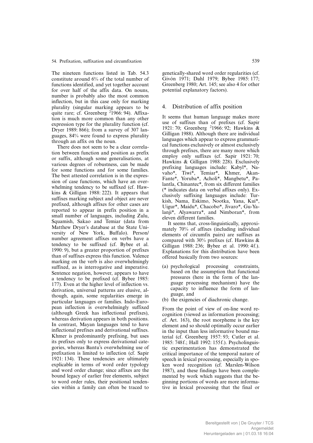The nineteen functions listed in Tab. 54.3 constitute around 6% of the total number of functions identified, and yet together account for over half of the affix data. On nouns, number is probably also the most common inflection, but in this case only for marking plurality (singular marking appears to be quite rare; cf. Greenberg  $21966:94$ ). Affixation is much more common than any other expression type for the plurality function (cf. Dryer 1989: 866); from a survey of 307 languages, 84% were found to express plurality through an affix on the noun.

There does not seem to be a clear correlation between function and position as prefix or suffix, although some generalisations, at various degrees of robustness, can be made for some functions and for some families. The best attested correlation is in the expression of case functions, which have an overwhelming tendency to be suffixed (cf. Hawkins & Gilligan 1988: 222). It appears that suffixes marking subject and object are never prefixed, although affixes for other cases are reported to appear in prefix position in a small number of languages, including Zulu, Squamish, Sakao and Temiar (data from Matthew Dryer's database at the State University of New York, Buffalo). Person/ number agreement affixes on verbs have a tendency to be suffixed (cf. Bybee et al. 1990: 9), but a greater proportion of prefixes than of suffixes express this function. Valence marking on the verb is also overwhelmingly suffixed, as is interrogative and imperative. Sentence negation, however, appears to have a tendency to be prefixed (cf. Bybee 1985: 177). Even at the higher level of inflection vs. derivation, universal patterns are elusive, although, again, some regularities emerge in particular languages or families. Indo-European inflection is overwhelmingly suffixed (although Greek has inflectional prefixes), whereas derivation appears in both positions. In contrast, Mayan languages tend to have inflectional prefixes and derivational suffixes. Khmer is predominantly prefixing, but uses its prefixes only to express derivational categories, whereas Bantu's overwhelming use of prefixation is limited to inflection (cf. Sapir 1921: 134). These tendencies are ultimately explicable in terms of word order typology and word order change; since affixes are the bound legacy of earlier free elements, subject to word order rules, their positional tendencies within a family can often be traced to

genetically-shared word order regularities (cf. Givón 1971; Dahl 1979; Bybee 1985: 177; Greenberg 1980; Art. 145; see also 4 for other potential explanatory factors).

#### 4. Distribution of affix position

It seems that human language makes more use of suffixes than of prefixes (cf. Sapir 1921: 70; Greenberg <sup>2</sup>1966: 92; Hawkins & Gilligan 1988). Although there are individual languages which appear to express grammatical functions exclusively or almost exclusively through prefixes, there are many more which employ only suffixes (cf. Sapir 1921: 70; Hawkins & Gilligan 1988: 228). Exclusively prefixing languages include: Kabyl\*, Navaho\*, Tiwi\*, Temiar\*, Khmer, Akan-Fante\*, Yoruba\*, Acholi\*, Mangbetu\*, Palantla, Chinantec\*, from six different families (\* indicates data on verbal affixes only). Exclusively suffixing languages include: Turkish, Nama, Eskimo, Nootka, Yana, Kui\*, Uigur\*, Maidu\*, Chacobo\*, Jivaro\*, Gu-Yalanji\*, Alyawarra\*, and Nimboran\*, from eleven different families.

It seems that, cross-linguistically, approximately 70% of affixes (including individual elements of circumfix pairs) are suffixes as compared with 30% prefixes (cf. Hawkins & Gilligan 1988: 236; Bybee et al. 1990: 4f.). Explanations for this distribution have been offered basically from two sources:

- (a) psychological processing constraints, based on the assumption that functional pressures (here in the form of the language processing mechanism) have the capacity to influence the form of language, and
- (b) the exigencies of diachronic change.

From the point of view of on-line word recognition (viewed as information processing; cf. Art. 163), the root morpheme is the key element and so should optimally occur earlier in the input than less informative bound material (cf. Greenberg 1957: 93; Cutler et al. 1985: 748f.; Hall 1992: 155f.). Psycholinguistic experimentation has demonstrated the critical importance of the temporal nature of speech in lexical processing, especially in spoken word recognition (cf. Marslen-Wilson 1987), and these findings have been complemented by work which suggests that the beginning portions of words are more informative in lexical processing that the final or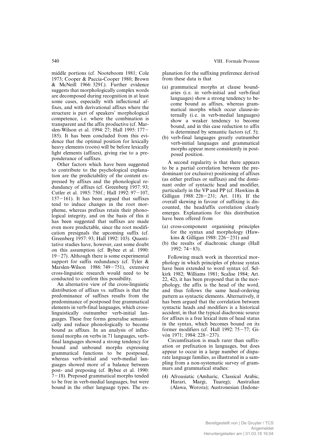middle portions (cf. Nooteboom 1981; Cole 1973; Cooper & Paccia-Cooper 1980; Brown & McNeill 1966: 329f.). Further evidence suggests that morphologically complex words are decomposed during recognition in at least some cases, especially with inflectional affixes, and with derivational affixes where the structure is part of speakers' morphological competence, i.e. where the combination is transparent and the affix productive (cf. Marslen-Wilson et al. 1994: 27; Hall 1995: 177- 185). It has been concluded from this evidence that the optimal position for lexically heavy elements (roots) will be before lexically light elements (affixes), giving rise to a preponderance of suffixes.

Other factors which have been suggested to contribute to the psychological explanation are the predictability of the content expressed by affixes and the phonological redundancy of affixes (cf. Greenberg 1957: 93; Cutler et al. 1985: 750f.; Hall 1992: 97-107, 157-161). It has been argued that suffixes tend to induce changes in the root morpheme, whereas prefixes retain their phonological integrity, and on the basis of this it has been suggested that suffixes are made even more predictable, since the root modification presignals the upcoming suffix (cf. Greenberg 1957: 93; Hall 1992: 103). Quantitative studies have, however, cast some doubt on this assumption (cf. Bybee et al. 1990: 19-27). Although there is some experimental support for suffix redundancy (cf. Tyler & Marslen-Wilson 1986: 749-751), extensive cross-linguistic research would need to be conducted to confirm this possibility.

An alternative view of the cross-linguistic distribution of affixes vs. suffixes is that the predominance of suffixes results from the predominance of postposed free grammatical elements in verb-final languages, which crosslinguistically outnumber verb-initial languages. These free forms generalise semantically and reduce phonologically to become bound as affixes. In an analysis of inflectional morphs on verbs in 71 languages, verbfinal languages showed a strong tendency for bound and unbound morphs expressing grammatical functions to be postposed, whereas verb-initial and verb-medial languages showed more of a balance between post- and preposing (cf. Bybee et al. 1990: 7-18). Preposed grammatical morphs tended to be free in verb-medial languages, but were bound in the other language types. The ex-

planation for the suffixing preference derived from these data is that

- (a) grammatical morphs at clause boundaries (i.e. in verb-initial and verb-final languages) show a strong tendency to become bound as affixes, whereas grammatical morphs which occur clause-internally (i.e. in verb-medial languages) show a weaker tendency to become bound, and in this case reduction to affix is determined by semantic factors (cf. 5);
- (b) verb-final languages greatly outnumber verb-initial languages and grammatical morphs appear more consistently in postposed position.

A second regularity is that there appears to be a partial correlation between the predominant (or exclusive) positioning of affixes (as either prefixes or suffixes) and the dominant order of syntactic head and modifier, particularly in the VP and PP (cf. Hawkins & Gilligan 1988: 226-231; Art. 118). If the overall skewing in favour of suffixing is discounted, the head/affix correlation clearly emerges. Explanations for this distribution have been offered from

- (a) cross-component organising principles for the syntax and morphology (Hawkins & Gilligan 1988: 226-231) and
- (b) the results of diachronic change (Hall 1992: 74-83).

Following much work in theoretical morphology in which principles of phrase syntax have been extended to word syntax (cf. Selkirk 1982; Williams 1981; Scalise 1984; Art. 22, 42), it has been proposed that in the morphology, the affix is the head of the word, and thus follows the same head-ordering pattern as syntactic elements. Alternatively, it has been argued that the correlation between syntactic heads and modifiers is a historical accident, in that the typical diachronic source for affixes is a free lexical item of head status in the syntax, which becomes bound on its former modifiers (cf. Hall 1992: 75-77; Givón 1971; 1984: 228–237).

Circumfixation is much rarer than suffixation or prefixation in languages, but does appear to occur in a large number of disparate language families, as illustrated in a sampling from a non-systematic survey of grammars and grammatical studies:

(4) Afroasiatic (Amharic, Classical Arabic, Harari, Margi, Tuareg); Australian (Alawa, Worora); Austronesian (Indone-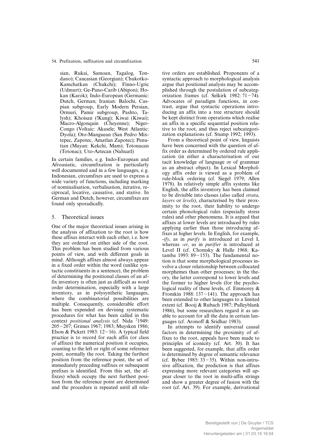sian, Rukai, Samoan, Tagalog, Tondano); Caucasian (Georgian); Chukotko-Kamchatkan (Chukchi); Finno-Ugric (Udmurt); Ge-Pano-Carib (Abipon); Hokan (Karok); Indo-European (Germanic: Dutch, German; Iranian: Balochi, Caspian subgroup, Early Modern Persian, Ormuri, Pamir subgroup, Pashto, Talysh); Khoisan (!Kung); Kiwai (Kiwai); Macro-Algonquin (Cheyenne); Niger-Congo (Voltaic: Akasele; West Atlantic: Dyola); Oto-Manguean (San Pedro Mixtepec, Zapotec, Amatlan Zapotec); Penutian (Mayan: Kekchi, Mam); Totonacan (Totonac); Uto-Aztecan (Nahuatl)

In certain families, e.g. Indo-European and Afroasiatic, circumfixation is particularly well documented and in a few languages, e.g. Indonesian, circumfixes are used to express a wide variety of functions, including marking of nominalisation, verbalisation, iterative, reciprocal, locative, causative, and stative. In German and Dutch, however, circumfixes are found only sporadically.

#### 5. Theoretical issues

One of the major theoretical issues arising in the analysis of affixation to the root is how these affixes interact with each other, i.e. how they are ordered on either side of the root. This problem has been studied from various points of view, and with different goals in mind. Although affixes almost always appear in a fixed order within the word (unlike syntactic constituents in a sentence), the problem of determining the positional classes of an affix inventory is often just as difficult as word order determination, especially with a large inventory, as in polysynthetic languages, where the combinatorial possibilities are multiple. Consequently, considerable effort has been expended on devising systematic procedures for what has been called in this context *positional analysis* (cf. Nida <sup>2</sup> 1949: 205-207; Grimes 1967; 1983; Muysken 1986; Elson & Pickett 1983:  $12-16$ ). A typical field practice is to record for each affix (or class of affixes) the numerical position it occupies, counting to the left or right of some reference point, normally the root. Taking the furthest position from the reference point, the set of immediately preceding suffixes or subsequent prefixes is identified. From this set, the affix(es) which occupy the next furthest position from the reference point are determined and the procedure is repeated until all rela-

tive orders are established. Proponents of a syntactic approach to morphological analysis argue that positional analysis may be accomplished through the postulation of subcategorization frames (cf. Selkirk 1982: 71-74). Advocates of paradigm functions, in contrast, argue that syntactic operations introducing an affix into a tree structure should be kept distinct from operations which realise an affix in a specific sequential position relative to the root, and thus reject subcategorization explanations (cf. Stump 1992; 1993).

From a theoretical point of view, linguists have been concerned with the question of affix order as determined by ordered rule application (in either a characterisation of our tacit knowledge of language or of grammar as an abstract object). In Lexical Morphology affix order is viewed as a problem of rule-block ordering (cf. Siegel 1979; Allen 1978). In relatively simple affix systems like English, the affix inventory has been claimed to be divisible into classes (also called *strata*, *layers* or *levels*), characterised by their proximity to the root, their liability to undergo certain phonological rules (especially stress rules) and other phenomena. It is argued that affixes at lower levels are introduced by rules applying earlier than those introducing affixes at higher levels. In English, for example, *-ify*, as in *purify* is introduced at Level I, whereas *-er*, as in *purifier* is introduced at Level II (cf. Chomsky & Halle 1968; Katamba 1993: 89-153). The fundamental notion is that some morphological processes involve a closer relationship between collocated morphemes than other processes; in the theory, the latter correspond to lower levels and the former to higher levels (for the psychological reality of these levels, cf. Emmorey & Fromkin 1988: 137–141). The approach has been extended to other languages to a limited extent (cf. Booij & Rubach 1987; Pulleyblank 1986), but some researchers regard it as unable to account for all the data in certain languages (cf. Aronoff & Sridhar 1983).

In attempts to identify universal causal factors in determining the proximity of affixes to the root, appeals have been made to principles of iconicity (cf. Art. 30). It has been suggested, for example, that affix order is determined by degree of semantic relevance (cf. Bybee 1985: 33-35). Within non-intrusive affixation, the prediction is that affixes expressing more relevant categories will appear closer to the root in multi-affix strings and show a greater degree of fusion with the root (cf. Art. 39). For example, derivational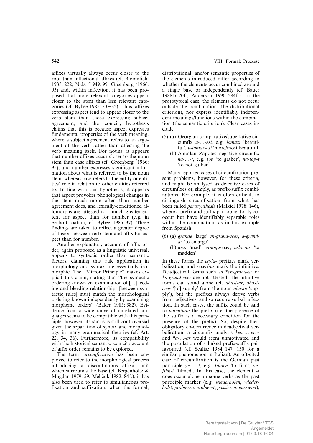affixes virtually always occur closer to the root than inflectional affixes (cf. Bloomfield 1933: 222; Nida <sup>2</sup>1949: 99; Greenberg <sup>2</sup>1966: 93) and, within inflection, it has been proposed that more relevant categories appear closer to the stem than less relevant categories (cf. Bybee 1985: 33-35). Thus, affixes expressing aspect tend to appear closer to the verb stem than those expressing subject agreement, and the iconicity hypothesis claims that this is because aspect expresses fundamental properties of the verb meaning, whereas subject agreement refers to an argument of the verb rather than affecting the verb meaning itself. For nouns, it appears that number affixes occur closer to the noun stem than case affixes (cf. Greenberg <sup>2</sup>1966: 95), and number expresses significant information about what is referred to by the noun stem, whereas case refers to the entity or entities' role in relation to other entities referred to. In line with this hypothesis, it appears that aspect provokes phonological changes in the stem much more often than number agreement does, and lexically-conditioned allomorphs are attested to a much greater extent for aspect than for number (e.g. in Serbo-Croatian; cf. Bybee 1985: 37). These findings are taken to reflect a greater degree of fusion between verb stem and affix for aspect than for number.

Another explanatory account of affix order, again proposed as a linguistic universal, appeals to syntactic rather than semantic factors, claiming that rule application in morphology and syntax are essentially isomorphic. The "Mirror Principle" makes explicit this claim, stating that "the syntactic ordering known via examination of […] feeding and bleeding relationships [between syntactic rules] must match the morphological ordering known independently by examining morpheme orders" (Baker 1985: 382). Evidence from a wide range of unrelated languages seems to be compatible with this principle; however, its status is still controversial given the separation of syntax and morphology in many grammatical theories (cf. Art. 22, 34, 36). Furthermore, its compatibility with the historical semantic iconicity account of affix order remains to be explored.

The term *circumfixation* has been employed to refer to the morphological process introducing a discontinuous affixal unit which surrounds the base (cf. Bergenholtz & Mugdan 1979: 59; Mel'čuk 1982: 84f.); it has also been used to refer to simultaneous prefixation and suffixation, when the formal, distributional, and/or semantic properties of the elements introduced differ according to whether the elements occur combined around a single base or independently (cf. Bauer 1988 b: 20f.; Anderson 1990: 284f.). In the prototypical case, the elements do not occur outside the combination (the distributional criterion), nor express identifiably independent meanings/functions within the combination (the semantic criterion). Clear cases include:

- (5) (a) Georgian comparative/superlative circumfix *u-…-esi*, e.g. *lamazi* 'beautiful', *u-lamaz-esi* 'more/most beautiful'
	- (b) Amatlan Zapotec negative circumfix *na-…-t*, e.g. *top* 'to gather', *na-top-t* 'to not gather'

Many reported cases of circumfixation present problems, however, for these criteria, and might be analysed as defective cases of circumfixes or, simply, as prefix-suffix combinations. For example, it is often difficult to distinguish circumfixation from what has been called *parasynthesis* (Malkiel 1978: 146), where a prefix and suffix pair obligatorily cooccur but have identifiably separable roles within the combination, as in this example from Spanish:

- (6) (a) *grande* 'large' *en-grand-ecer*, *a-grandar* 'to enlarge'
	- (b) *loco* 'mad' *en-loqu-ecer*, *a-loc-ar* 'to madden'

In these forms the *en-/a-* prefixes mark verbalisation, and *-ecer/-ar* mark the infinitive. Deadjectival forms such as \**en-grand-ar* or \**a-grand-ecer* are not attested. The infinitive forms can stand alone (cf. *abast-ar*, *abastecer* '[to] supply' from the noun *abasto* 'supply'), but the prefixes always derive verbs from adjectives, and so require verbal inflection. In such cases, the suffix could be said to *potentiate* the prefix (i.e. the presence of the suffix is a necessary condition for the presence of the prefix). So, despite their obligatory co-occurrence in deadjectival verbalisation, a circumfix analysis \**en-…-ecer* and \**a-…-ar* would seem unmotivated and the postulation of a linked prefix-suffix pair favoured (cf. Scalise 1984: 147-150 for a similar phenomenon in Italian). An oft-cited case of circumfixation is the German past participle *ge-…-t*, e.g. *filmen* 'to film', *gefilm-t* 'filmed'. In this case, the element *-t* does occur alone on some verbs as the past participle marker (e.g. *wiederholen*, *wiederhol-t*; *probieren*, *probier-t*; *passieren*, *passier-t*),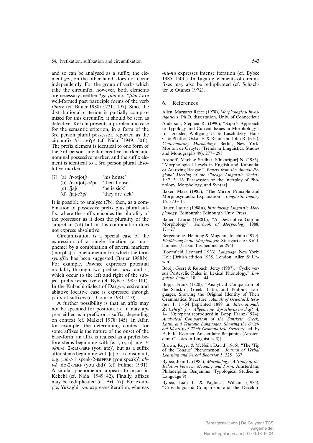and so can be analysed as a suffix; the element *ge-*, on the other hand, does not occur independently. For the group of verbs which take the circumfix, however, both elements are necessary: neither \**ge-film* nor \**film-t* are well-formed past participle forms of the verb *filmen* (cf. Bauer 1988 a: 22f., 197). Since the distributional criterion is partially compromised for this circumfix, it should be seen as defective. Kekchi presents a problematic case for the semantic criterion, in a form of the 3rd person plural possessor, reported as the circumfix  $/r$ -...-e?p/ (cf. Nida<sup>-2</sup>1949: 50f.). The prefix element is identical to one form of the 3rd person singular ergative marker and nominal possessive marker, and the suffix element is identical to a 3rd person plural absolutive marker:

|  | $(7)$ (a) /r-otsots (1) | 'his house'     |
|--|-------------------------|-----------------|
|  | (b) $/r$ -otfotf-e?p/   | 'their house'   |
|  | $(c)$ /jaf/             | 'he is sick'    |
|  | (d) $/jaf-ePp/$         | 'they are sick' |

It is possible to analyse (7b), then, as a combination of possessive prefix plus plural suffix, where the suffix encodes the plurality of the possessor as it does the plurality of the subject in (7d) but in this combination does not express absolutive.

Circumfixation is a special case of the expression of a single function (a morpheme) by a combination of several markers (morphs), a phenomenon for which the term *synaffix* has been suggested (Bauer 1988 b). For example, Pawnee expresses potential modality through two prefixes, *kus-* and *i-*, which occur to the left and right of the subject prefix respectively (cf. Bybee 1985: 181). In the Kubachi dialect of Dargva, essive and ablative locative case is expressed through pairs of suffixes (cf. Comrie 1981: 210).

A further possibility is that an affix may not be specified for position, i.e. it may appear either as a prefix or a suffix, depending on context (cf. Malkiel 1978: 145). In Afar, for example, the determining context for some affixes is the nature of the onset of the base-form: an affix is realised as a prefix before stems beginning with [e, i, o, u], e.g. *tokm-e´* '2-eat-perf (you ate)', but as a suffix after stems beginning with [a] or a consonant, e.g.  $vab-t-e$  'speak-2-IMPERF (you speak)';  $ab$ *t-e´* 'do-2-perf (you did)' (cf. Fulmer 1991). A similar phenomenon appears to occur in Kekchi (cf. Nida  $21949: 42$ ). Finally, affixes may be reduplicated (cf. Art. 57). For example, Yukaghir *-nu* expresses iteration, whereas

*-nu-nu* expresses intense iteration (cf. Bybee 1985: 150f.). In Tagalog, elements of circumfixes may also be reduplicated (cf. Schachter & Otanes 1972).

#### 6. References

Allen, Margaret Reece (1978), *Morphological Investigations*. Ph.D. dissertation, Univ. of Connecticut Anderson, Stephen R. (1990), "Sapir's Approach to Typology and Current Issues in Morphology". In: Dressler, Wolfgang U. & Luschützky, Hans C. & Pfeiffer, Oskar E. & Rennison, John R. (eds.), *Contemporary Morphology*. Berlin, New York: Mouton de Gruyter (Trends in Linguistics: Studies and Monographs 49), 277-295

Aronoff, Mark & Sridhar, S[hikaripur] N. (1983), "Morphological Levels in English and Kannada; or Atarizing Reagan". *Papers from the Annual Regional Meeting of the Chicago Linguistic Society* 19.2, 3-16 [Parasession on the Interplay of Phonology, Morphology, and Syntax]

Baker, Mark (1985), "The Mirror Principle and Morphosyntactic Explanation". *Linguistic Inquiry* 16, 373-415

Bauer, Laurie (1988 a), *Introducing Linguistic Morphology*. Edinburgh: Edinburgh Univ. Press

Bauer, Laurie (1988 b), "A Descriptive Gap in Morphology". *Yearbook of Morphology* 1988,  $17 - 27$ 

Bergenholtz, Henning & Mugdan, Joachim (1979), *Einführung in die Morphologie*. Stuttgart etc.: Kohlhammer (Urban-Taschenbücher 296)

Bloomfield, Leonard (1933), *Language*. New York: Holt [British edition 1935, London: Allen & Unwin]

Booij, Geert & Rubach, Jerzy (1987), "Cyclic versus Postcyclic Rules in Lexical Phonology." *Linguistic Inquiry* 18, 1-44

Bopp, Franz (1820), "Analytical Comparison of the Sanskrit, Greek, Latin, and Teutonic Languages, Showing the Original Identity of Their Grammatical Structure". *Annals of Oriental Literature* 1, 1-64 [reprinted 1889 in: *Internationale Zeitschrift für Allgemeine Sprachwissenschaft* 4, 14-60; reprint reproduced in: Bopp, Franz (1974), *Analytical Comparison of the Sanskrit, Greek, Latin, and Teutonic Languages, Showing the Original Identity of Their Grammatical Structure*, ed. by E. F. K. Koerner. Amsterdam: Benjamins (Amsterdam Classics in Linguistics 3)]

Brown, Roger & McNeill, David (1966), "The 'Tip of the Tongue' Phenomenon". *Journal of Verbal Learning and Verbal Behavior* 5, 325-337

Bybee, Joan L. (1985), *Morphology: A Study of the Relation between Meaning and Form*. Amsterdam, Philadelphia: Benjamins (Typological Studies in Language 9)

Bybee, Joan L. & Pagliuca, William (1985), "Cross-linguistic Comparison and the Develop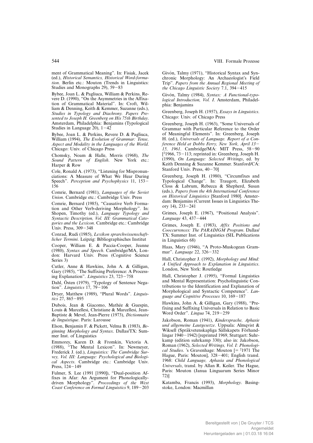ment of Grammatical Meaning". In: Fisiak, Jacek (ed.), *Historical Semantics, Historical Word-formation*. Berlin etc.: Mouton (Trends in Linguistics: Studies and Monographs 29), 59-83

Bybee, Joan L. & Pagliuca, William & Perkins, Revere D. (1990), "On the Asymmetries in the Affixation of Grammatical Material". In: Croft, William & Denning, Keith & Kemmer, Suzanne (eds.), *Studies in Typology and Diachrony. Papers Presented to Joseph H. Greenberg on His 75th Birthday*. Amsterdam, Philadelphia: Benjamins (Typological Studies in Language 20), 1-42

Bybee, Joan L. & Perkins, Revere D. & Pagliuca, William (1994), *The Evolution of Grammar: Tense, Aspect and Modality in the Languages of the World*. Chicago: Univ. of Chicago Press

Chomsky, Noam & Halle, Morris (1968), *The Sound Pattern of English*. New York etc.: Harper & Row

Cole, Ronald A. (1973), "Listening for Mispronunciations: A Measure of What We Hear During Speech". *Perception and Psychophysics* 11, 153- 156

Comrie, Bernard (1981), *Languages of the Soviet Union*. Cambridge etc.: Cambridge Univ. Press

Comrie, Bernard (1985), "Causative Verb Formation and Other Verb-deriving Morphology". In: Shopen, Timothy (ed.), *Language Typology and Syntactic Description, Vol. III: Grammatical Categories and the Lexicon*. Cambridge etc.: Cambridge Univ. Press, 309-348

Conrad, Rudi (1985), *Lexikon sprarchwissenschaftlicher Termini*. Leipzig: Bibliographisches Institut

Cooper, William E. & Paccia-Cooper, Jeanne (1980), *Syntax and Speech*. Cambridge/MA, London: Harvard Univ. Press (Cognitive Science Series 3)

Cutler, Anne & Hawkins, John A. & Gilligan, Gary (1985), "The Suffixing Preference: A Processing Explanation". *Linguistics* 23, 723-758

Dahl, Östen (1979), "Typology of Sentence Negation". *Linguistics* 17, 79-106

Dryer, Matthew (1989), "Plural Words". *Linguistics* 27, 865-895

Dubois, Jean & Giacomo, Mathée & Guespin, Louis & Marcellesi, Christiane & Marcellesi, Jean-Baptiste & Mevel, Jean-Pierre (1973), *Dictionnaire de linguistique*. Paris: Larousse

Elson, Benjamin F. & Pickett, Velma B. (1983), *Beginning Morphology and Syntax*. Dallas/TX: Summer Inst. of Linguistics

Emmorey, Karen D. & Fromkin, Victoria A. (1988), "The Mental Lexicon". In: Newmeyer, Frederick J. (ed.), *Linguistics: The Cambridge Survey, Vol. III: Language: Psychological and Biological Aspects*. Cambridge etc.: Cambridge Univ. Press, 124-149

Fulmer, S. Lee (1991 [1990]), "Dual-position Affixes in Afar: An Argument for Phonologicallydriven Morphology". *Proceedings of the West Coast Conference on Formal Linguistics* 9, 189-203

Givón, Talmy (1971), "Historical Syntax and Synchronic Morphology: An Archaeologist's Field Trip". *Papers from the Annual Regional Meeting of the Chicago Linguistic Society* 7.1, 394-415

Givón, Talmy (1984), *Syntax: A Functional-typological Introduction, Vol. I*. Amsterdam, Philadelphia: Benjamins

Greenberg, Joseph H. (1957), *Essays in Linguistics*. Chicago: Univ. of Chicago Press

Greenberg, Joseph H. (1963), "Some Universals of Grammar with Particular Reference to the Order of Meaningful Elements". In: Greenberg, Joseph H. (ed.), *Universals of Language. Report of a Conference Held at Dobbs Ferry, New York, April 13*- *15, 1961*. Cambridge/MA: MIT Press, 58-90  $[^{2}1966, 73-113$ ; reprinted in: Greenberg, Joseph H. (1990), *On Language: Selected Writings*, ed. by Keith Denning & Suzanne Kemmer. Stanford/CA: Stanford Univ. Press, 40-70]

Greenberg, Joseph H. (1980), "Circumfixes and Typological Change". In: Traugott, Elizabeth Closs & Labrum, Rebecca & Shepherd, Susan (eds.), *Papers from the 4th International Conference on Historical Linguistics* [Stanford 1980]. Amsterdam: Benjamins (Current Issues in Linguistics Theory 14), 233-241

Grimes, Joseph E. (1967), "Positional Analysis". *Language* 43, 437-444

Grimes, Joseph E. (1983), *Affix Positions and Cooccurrences: The PARADIGM Program*. Dallas/ TX: Summer Inst. of Linguistics (SIL Publications in Linguistics 68)

Haas, Mary (1946), "A Proto-Muskogean Grammar". *Language* 22, 326-332

Hall, Christopher J. (1992), *Morphology and Mind: A Unified Approach to Explanation in Linguistics*. London, New York: Routledge

Hall, Christopher J. (1995), "Formal Linguistics and Mental Representation: Psycholinguistic Contributions to the Identification and Explanation of Morphological and Syntactic Competence". *Language and Cognitive Processes* 10, 169-187

Hawkins, John A. & Gilligan, Gary (1988), "Prefixing and Suffixing Universals in Relation to Basic Word Order". *Lingua* 74, 219-259

Jakobson, Roman (1941), *Kindersprache, Aphasie und allgemeine Lautgesetze*. Uppsala: Almqvist & Wiksell (Språkvetenskapliga Sällskapets Förhandlingar 1940-1942) [reprinted 1969, Stuttgart: Suhrkamp (edition suhrkamp 330); also in: Jakobson, Roman (1962), *Selected Writings, Vol. I: Phonological Studies.* 's Gravenhage: Mouton  $[=$  21971 The Hague, Paris: Mouton], 328-401; English transl. 1968: *Child Language, Aphasia and Phonological Universals*, transl. by Allan R. Keiler. The Hague, Paris: Mouton (Janua Linguarum Series Minor 72)]

Katamba, Francis (1993), *Morphology*. Basingstoke, London: Macmillan